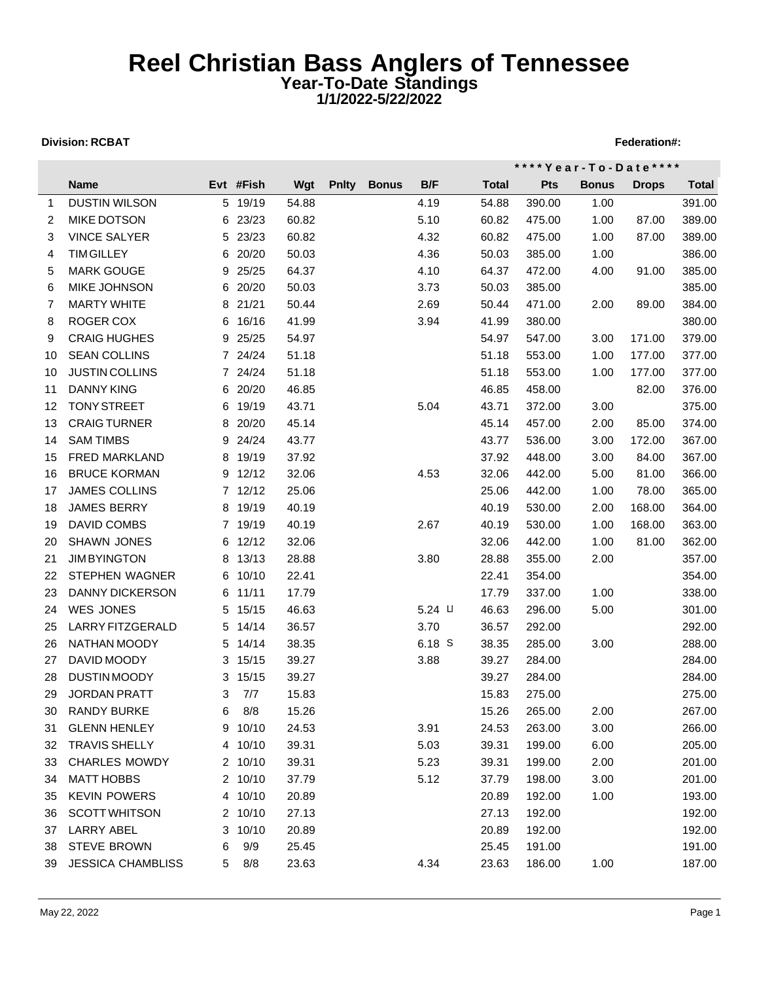## **Reel Christian Bass Anglers of Tennessee Year-To-Date Standings 1/1/2022-5/22/2022**

## **Division: RCBAT** Federation **RGBAT** Federation **RGBAT** Federation **Federation Federation Federation Federation Federation Federation Federation Federation Federation Federation Federation Federation**

|    |                          |   |           |       |              |              |                |              |            | **** Year - To - Date **** |              |              |
|----|--------------------------|---|-----------|-------|--------------|--------------|----------------|--------------|------------|----------------------------|--------------|--------------|
|    | <b>Name</b>              |   | Evt #Fish | Wgt   | <b>Pnity</b> | <b>Bonus</b> | B/F            | <b>Total</b> | <b>Pts</b> | <b>Bonus</b>               | <b>Drops</b> | <b>Total</b> |
| 1  | <b>DUSTIN WILSON</b>     |   | 5 19/19   | 54.88 |              |              | 4.19           | 54.88        | 390.00     | 1.00                       |              | 391.00       |
| 2  | <b>MIKE DOTSON</b>       |   | 6 23/23   | 60.82 |              |              | 5.10           | 60.82        | 475.00     | 1.00                       | 87.00        | 389.00       |
| 3  | <b>VINCE SALYER</b>      |   | 5 23/23   | 60.82 |              |              | 4.32           | 60.82        | 475.00     | 1.00                       | 87.00        | 389.00       |
| 4  | <b>TIM GILLEY</b>        |   | 6 20/20   | 50.03 |              |              | 4.36           | 50.03        | 385.00     | 1.00                       |              | 386.00       |
| 5  | <b>MARK GOUGE</b>        |   | 9 25/25   | 64.37 |              |              | 4.10           | 64.37        | 472.00     | 4.00                       | 91.00        | 385.00       |
| 6  | <b>MIKE JOHNSON</b>      |   | 6 20/20   | 50.03 |              |              | 3.73           | 50.03        | 385.00     |                            |              | 385.00       |
| 7  | <b>MARTY WHITE</b>       |   | 8 21/21   | 50.44 |              |              | 2.69           | 50.44        | 471.00     | 2.00                       | 89.00        | 384.00       |
| 8  | ROGER COX                |   | 6 16/16   | 41.99 |              |              | 3.94           | 41.99        | 380.00     |                            |              | 380.00       |
| 9  | <b>CRAIG HUGHES</b>      |   | 9 25/25   | 54.97 |              |              |                | 54.97        | 547.00     | 3.00                       | 171.00       | 379.00       |
| 10 | <b>SEAN COLLINS</b>      |   | 7 24/24   | 51.18 |              |              |                | 51.18        | 553.00     | 1.00                       | 177.00       | 377.00       |
| 10 | <b>JUSTIN COLLINS</b>    |   | 7 24/24   | 51.18 |              |              |                | 51.18        | 553.00     | 1.00                       | 177.00       | 377.00       |
| 11 | <b>DANNY KING</b>        |   | 6 20/20   | 46.85 |              |              |                | 46.85        | 458.00     |                            | 82.00        | 376.00       |
| 12 | <b>TONY STREET</b>       |   | 6 19/19   | 43.71 |              |              | 5.04           | 43.71        | 372.00     | 3.00                       |              | 375.00       |
| 13 | <b>CRAIG TURNER</b>      |   | 8 20/20   | 45.14 |              |              |                | 45.14        | 457.00     | 2.00                       | 85.00        | 374.00       |
| 14 | <b>SAM TIMBS</b>         |   | 9 24/24   | 43.77 |              |              |                | 43.77        | 536.00     | 3.00                       | 172.00       | 367.00       |
| 15 | <b>FRED MARKLAND</b>     |   | 8 19/19   | 37.92 |              |              |                | 37.92        | 448.00     | 3.00                       | 84.00        | 367.00       |
| 16 | <b>BRUCE KORMAN</b>      |   | 9 12/12   | 32.06 |              |              | 4.53           | 32.06        | 442.00     | 5.00                       | 81.00        | 366.00       |
| 17 | <b>JAMES COLLINS</b>     |   | 7 12/12   | 25.06 |              |              |                | 25.06        | 442.00     | 1.00                       | 78.00        | 365.00       |
| 18 | <b>JAMES BERRY</b>       |   | 8 19/19   | 40.19 |              |              |                | 40.19        | 530.00     | 2.00                       | 168.00       | 364.00       |
| 19 | DAVID COMBS              |   | 7 19/19   | 40.19 |              |              | 2.67           | 40.19        | 530.00     | 1.00                       | 168.00       | 363.00       |
| 20 | SHAWN JONES              |   | 6 12/12   | 32.06 |              |              |                | 32.06        | 442.00     | 1.00                       | 81.00        | 362.00       |
| 21 | <b>JIMBYINGTON</b>       |   | 8 13/13   | 28.88 |              |              | 3.80           | 28.88        | 355.00     | 2.00                       |              | 357.00       |
| 22 | STEPHEN WAGNER           |   | 6 10/10   | 22.41 |              |              |                | 22.41        | 354.00     |                            |              | 354.00       |
| 23 | <b>DANNY DICKERSON</b>   |   | 6 11/11   | 17.79 |              |              |                | 17.79        | 337.00     | 1.00                       |              | 338.00       |
| 24 | <b>WES JONES</b>         |   | 5 15/15   | 46.63 |              |              | $5.24 \; \cup$ | 46.63        | 296.00     | 5.00                       |              | 301.00       |
| 25 | LARRY FITZGERALD         |   | 5 14/14   | 36.57 |              |              | 3.70           | 36.57        | 292.00     |                            |              | 292.00       |
| 26 | NATHAN MOODY             |   | 5 14/14   | 38.35 |              |              | $6.18$ S       | 38.35        | 285.00     | 3.00                       |              | 288.00       |
| 27 | DAVID MOODY              |   | 3 15/15   | 39.27 |              |              | 3.88           | 39.27        | 284.00     |                            |              | 284.00       |
| 28 | <b>DUSTIN MOODY</b>      |   | 3 15/15   | 39.27 |              |              |                | 39.27        | 284.00     |                            |              | 284.00       |
| 29 | <b>JORDAN PRATT</b>      | 3 | 7/7       | 15.83 |              |              |                | 15.83        | 275.00     |                            |              | 275.00       |
| 30 | <b>RANDY BURKE</b>       | 6 | 8/8       | 15.26 |              |              |                | 15.26        | 265.00     | 2.00                       |              | 267.00       |
| 31 | <b>GLENN HENLEY</b>      |   | 9 10/10   | 24.53 |              |              | 3.91           | 24.53        | 263.00     | 3.00                       |              | 266.00       |
| 32 | <b>TRAVIS SHELLY</b>     |   | 4 10/10   | 39.31 |              |              | 5.03           | 39.31        | 199.00     | 6.00                       |              | 205.00       |
| 33 | <b>CHARLES MOWDY</b>     |   | 2 10/10   | 39.31 |              |              | 5.23           | 39.31        | 199.00     | 2.00                       |              | 201.00       |
| 34 | <b>MATT HOBBS</b>        |   | 2 10/10   | 37.79 |              |              | 5.12           | 37.79        | 198.00     | 3.00                       |              | 201.00       |
| 35 | <b>KEVIN POWERS</b>      |   | 4 10/10   | 20.89 |              |              |                | 20.89        | 192.00     | 1.00                       |              | 193.00       |
| 36 | <b>SCOTT WHITSON</b>     |   | 2 10/10   | 27.13 |              |              |                | 27.13        | 192.00     |                            |              | 192.00       |
| 37 | <b>LARRY ABEL</b>        | 3 | 10/10     | 20.89 |              |              |                | 20.89        | 192.00     |                            |              | 192.00       |
| 38 | <b>STEVE BROWN</b>       | 6 | 9/9       | 25.45 |              |              |                | 25.45        | 191.00     |                            |              | 191.00       |
| 39 | <b>JESSICA CHAMBLISS</b> | 5 | 8/8       | 23.63 |              |              | 4.34           | 23.63        | 186.00     | 1.00                       |              | 187.00       |
|    |                          |   |           |       |              |              |                |              |            |                            |              |              |